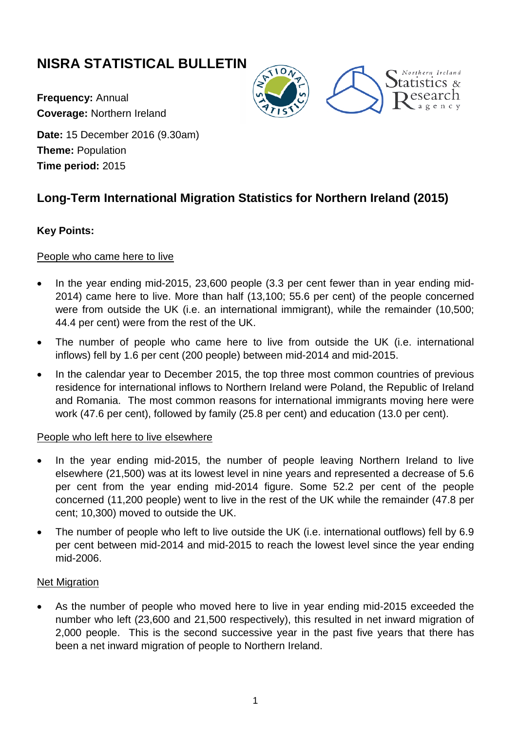# **NISRA STATISTICAL BULLETIN**

**Frequency:** Annual **Coverage:** Northern Ireland





**Date:** 15 December 2016 (9.30am) **Theme:** Population **Time period:** 2015

# **Long-Term International Migration Statistics for Northern Ireland (2015)**

## **Key Points:**

### People who came here to live

- In the year ending mid-2015, 23,600 people (3.3 per cent fewer than in year ending mid-2014) came here to live. More than half (13,100; 55.6 per cent) of the people concerned were from outside the UK (i.e. an international immigrant), while the remainder (10,500; 44.4 per cent) were from the rest of the UK.
- The number of people who came here to live from outside the UK (i.e. international inflows) fell by 1.6 per cent (200 people) between mid-2014 and mid-2015.
- In the calendar year to December 2015, the top three most common countries of previous residence for international inflows to Northern Ireland were Poland, the Republic of Ireland and Romania. The most common reasons for international immigrants moving here were work (47.6 per cent), followed by family (25.8 per cent) and education (13.0 per cent).

### People who left here to live elsewhere

- In the year ending mid-2015, the number of people leaving Northern Ireland to live elsewhere (21,500) was at its lowest level in nine years and represented a decrease of 5.6 per cent from the year ending mid-2014 figure. Some 52.2 per cent of the people concerned (11,200 people) went to live in the rest of the UK while the remainder (47.8 per cent; 10,300) moved to outside the UK.
- The number of people who left to live outside the UK (i.e. international outflows) fell by 6.9 per cent between mid-2014 and mid-2015 to reach the lowest level since the year ending mid-2006.

### Net Migration

• As the number of people who moved here to live in year ending mid-2015 exceeded the number who left (23,600 and 21,500 respectively), this resulted in net inward migration of 2,000 people. This is the second successive year in the past five years that there has been a net inward migration of people to Northern Ireland.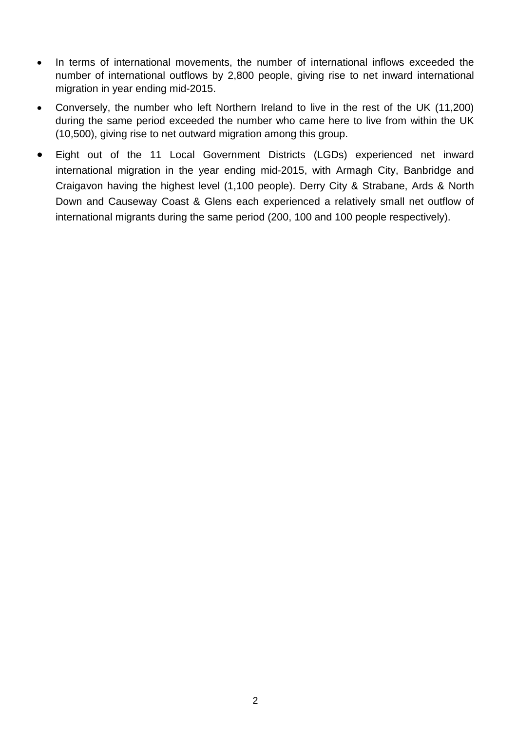- In terms of international movements, the number of international inflows exceeded the number of international outflows by 2,800 people, giving rise to net inward international migration in year ending mid-2015.
- Conversely, the number who left Northern Ireland to live in the rest of the UK (11,200) during the same period exceeded the number who came here to live from within the UK (10,500), giving rise to net outward migration among this group.
- Eight out of the 11 Local Government Districts (LGDs) experienced net inward international migration in the year ending mid-2015, with Armagh City, Banbridge and Craigavon having the highest level (1,100 people). Derry City & Strabane, Ards & North Down and Causeway Coast & Glens each experienced a relatively small net outflow of international migrants during the same period (200, 100 and 100 people respectively).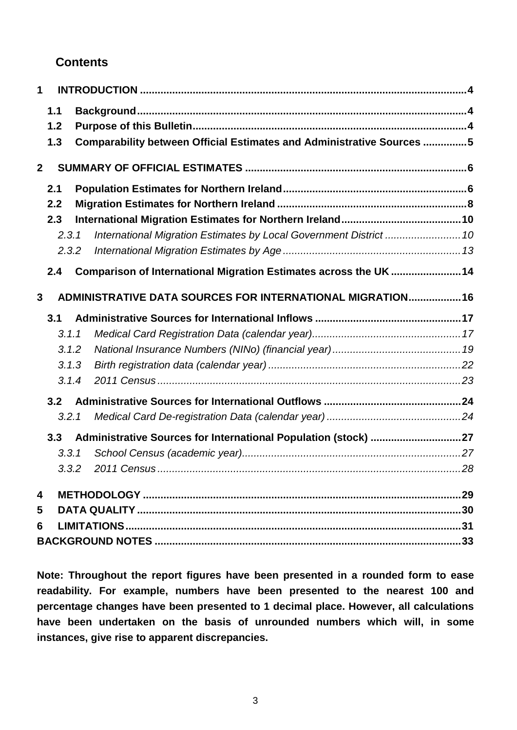# **Contents**

| 1                       |       |                                                                       |     |
|-------------------------|-------|-----------------------------------------------------------------------|-----|
|                         | 1.1   |                                                                       |     |
|                         | 1.2   |                                                                       |     |
|                         | 1.3   | Comparability between Official Estimates and Administrative Sources 5 |     |
| $\boldsymbol{2}$        |       |                                                                       |     |
|                         | 2.1   |                                                                       |     |
|                         | 2.2   |                                                                       |     |
|                         | 2.3   |                                                                       |     |
|                         | 2.3.1 | International Migration Estimates by Local Government District  10    |     |
|                         | 2.3.2 |                                                                       |     |
|                         | 2.4   | Comparison of International Migration Estimates across the UK  14     |     |
| 3                       |       | ADMINISTRATIVE DATA SOURCES FOR INTERNATIONAL MIGRATION 16            |     |
|                         | 3.1   |                                                                       |     |
|                         | 3.1.1 |                                                                       |     |
|                         | 3.1.2 |                                                                       |     |
|                         | 3.1.3 |                                                                       |     |
|                         | 3.1.4 |                                                                       |     |
|                         | 3.2   |                                                                       |     |
|                         | 3.2.1 |                                                                       |     |
|                         | 3.3   | Administrative Sources for International Population (stock) 27        |     |
|                         | 3.3.1 |                                                                       |     |
|                         | 3.3.2 | 2011 Census                                                           | .28 |
| $\overline{\mathbf{4}}$ |       |                                                                       |     |
| 5                       |       |                                                                       |     |
| 6                       |       |                                                                       |     |
|                         |       |                                                                       |     |

**Note: Throughout the report figures have been presented in a rounded form to ease readability. For example, numbers have been presented to the nearest 100 and percentage changes have been presented to 1 decimal place. However, all calculations have been undertaken on the basis of unrounded numbers which will, in some instances, give rise to apparent discrepancies.**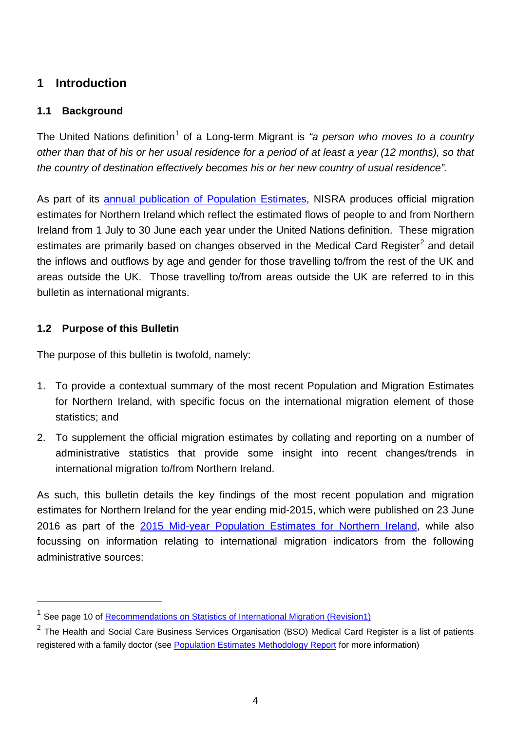# <span id="page-3-0"></span>**1 Introduction**

## <span id="page-3-1"></span>**1.1 Background**

The United Nations definition<sup>[1](#page-3-3)</sup> of a Long-term Migrant is "a person who moves to a country *other than that of his or her usual residence for a period of at least a year (12 months), so that the country of destination effectively becomes his or her new country of usual residence".*

As part of its [annual publication of Population Estimates,](http://www.nisra.gov.uk/demography/default.asp17.htm) NISRA produces official migration estimates for Northern Ireland which reflect the estimated flows of people to and from Northern Ireland from 1 July to 30 June each year under the United Nations definition. These migration estimates are primarily based on changes observed in the Medical Card Register<sup>[2](#page-3-4)</sup> and detail the inflows and outflows by age and gender for those travelling to/from the rest of the UK and areas outside the UK. Those travelling to/from areas outside the UK are referred to in this bulletin as international migrants.

## <span id="page-3-2"></span>**1.2 Purpose of this Bulletin**

 $\overline{a}$ 

The purpose of this bulletin is twofold, namely:

- 1. To provide a contextual summary of the most recent Population and Migration Estimates for Northern Ireland, with specific focus on the international migration element of those statistics; and
- 2. To supplement the official migration estimates by collating and reporting on a number of administrative statistics that provide some insight into recent changes/trends in international migration to/from Northern Ireland.

As such, this bulletin details the key findings of the most recent population and migration estimates for Northern Ireland for the year ending mid-2015, which were published on 23 June 2016 as part of the [2015 Mid-year Population Estimates for Northern Ireland,](http://www.nisra.gov.uk/demography/default.asp17.htm) while also focussing on information relating to international migration indicators from the following administrative sources:

<span id="page-3-3"></span><sup>&</sup>lt;sup>1</sup> See page 10 of [Recommendations on Statistics of International Migration \(Revision1\)](http://unstats.un.org/unsd/publication/SeriesM/SeriesM_58rev1e.pdf)

<span id="page-3-4"></span> $2$  The Health and Social Care Business Services Organisation (BSO) Medical Card Register is a list of patients registered with a family doctor (see [Population Estimates Methodology Report](http://www.nisra.gov.uk/archive/demography/population/midyear/Methodology_2015.pdf) for more information)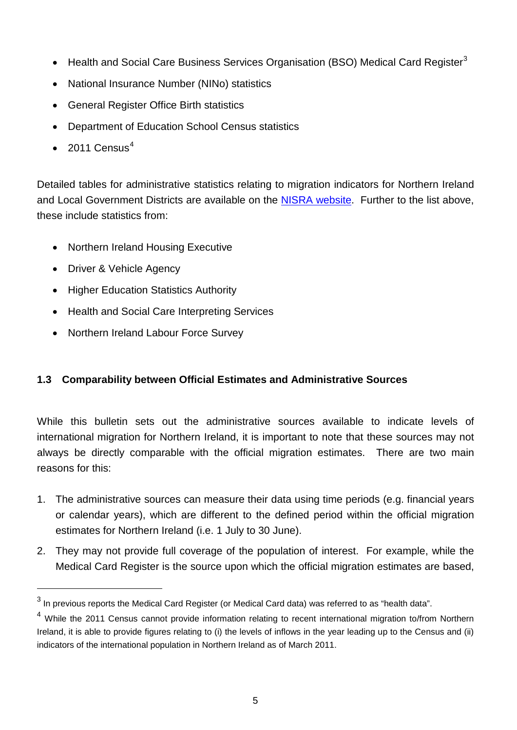- Health and Social Care Business Services Organisation (BSO) Medical Card Register<sup>[3](#page-4-1)</sup>
- National Insurance Number (NINo) statistics
- General Register Office Birth statistics
- Department of Education School Census statistics
- 2011 Census $4$

Detailed tables for administrative statistics relating to migration indicators for Northern Ireland and Local Government Districts are available on the [NISRA website.](http://www.nisra.gov.uk/demography/default.asp18.htm) Further to the list above, these include statistics from:

- Northern Ireland Housing Executive
- Driver & Vehicle Agency

 $\overline{a}$ 

- Higher Education Statistics Authority
- Health and Social Care Interpreting Services
- Northern Ireland Labour Force Survey

# <span id="page-4-0"></span>**1.3 Comparability between Official Estimates and Administrative Sources**

While this bulletin sets out the administrative sources available to indicate levels of international migration for Northern Ireland, it is important to note that these sources may not always be directly comparable with the official migration estimates. There are two main reasons for this:

- 1. The administrative sources can measure their data using time periods (e.g. financial years or calendar years), which are different to the defined period within the official migration estimates for Northern Ireland (i.e. 1 July to 30 June).
- 2. They may not provide full coverage of the population of interest. For example, while the Medical Card Register is the source upon which the official migration estimates are based,

<span id="page-4-1"></span> $3$  In previous reports the Medical Card Register (or Medical Card data) was referred to as "health data".

<span id="page-4-2"></span><sup>&</sup>lt;sup>4</sup> While the 2011 Census cannot provide information relating to recent international migration to/from Northern Ireland, it is able to provide figures relating to (i) the levels of inflows in the year leading up to the Census and (ii) indicators of the international population in Northern Ireland as of March 2011.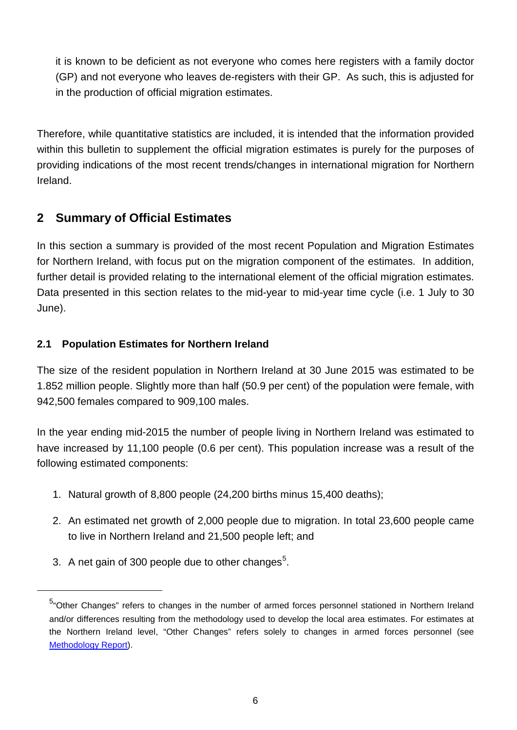it is known to be deficient as not everyone who comes here registers with a family doctor (GP) and not everyone who leaves de-registers with their GP. As such, this is adjusted for in the production of official migration estimates.

Therefore, while quantitative statistics are included, it is intended that the information provided within this bulletin to supplement the official migration estimates is purely for the purposes of providing indications of the most recent trends/changes in international migration for Northern Ireland.

# <span id="page-5-0"></span>**2 Summary of Official Estimates**

In this section a summary is provided of the most recent Population and Migration Estimates for Northern Ireland, with focus put on the migration component of the estimates. In addition, further detail is provided relating to the international element of the official migration estimates. Data presented in this section relates to the mid-year to mid-year time cycle (i.e. 1 July to 30 June).

# <span id="page-5-1"></span>**2.1 Population Estimates for Northern Ireland**

The size of the resident population in Northern Ireland at 30 June 2015 was estimated to be 1.852 million people. Slightly more than half (50.9 per cent) of the population were female, with 942,500 females compared to 909,100 males.

In the year ending mid-2015 the number of people living in Northern Ireland was estimated to have increased by 11,100 people (0.6 per cent). This population increase was a result of the following estimated components:

- 1. Natural growth of 8,800 people (24,200 births minus 15,400 deaths);
- 2. An estimated net growth of 2,000 people due to migration. In total 23,600 people came to live in Northern Ireland and 21,500 people left; and
- 3. A net gain of 300 people due to other changes<sup>[5](#page-5-2)</sup>.

<span id="page-5-2"></span> $\overline{a}$ 

<sup>&</sup>lt;sup>5</sup>"Other Changes" refers to changes in the number of armed forces personnel stationed in Northern Ireland and/or differences resulting from the methodology used to develop the local area estimates. For estimates at the Northern Ireland level, "Other Changes" refers solely to changes in armed forces personnel (see [Methodology Report\)](http://www.nisra.gov.uk/archive/demography/population/midyear/Methodology_2015.pdf).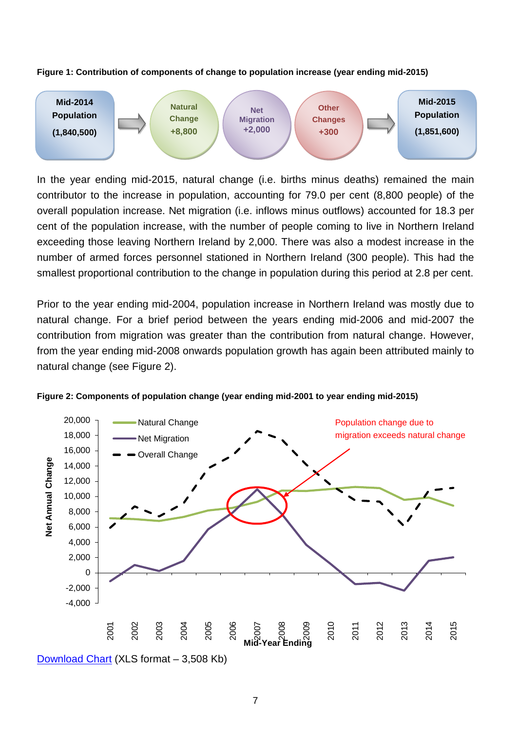



In the year ending mid-2015, natural change (i.e. births minus deaths) remained the main contributor to the increase in population, accounting for 79.0 per cent (8,800 people) of the overall population increase. Net migration (i.e. inflows minus outflows) accounted for 18.3 per cent of the population increase, with the number of people coming to live in Northern Ireland exceeding those leaving Northern Ireland by 2,000. There was also a modest increase in the number of armed forces personnel stationed in Northern Ireland (300 people). This had the smallest proportional contribution to the change in population during this period at 2.8 per cent.

Prior to the year ending mid-2004, population increase in Northern Ireland was mostly due to natural change. For a brief period between the years ending mid-2006 and mid-2007 the contribution from migration was greater than the contribution from natural change. However, from the year ending mid-2008 onwards population growth has again been attributed mainly to natural change (see Figure 2).



**Figure 2: Components of population change (year ending mid-2001 to year ending mid-2015)**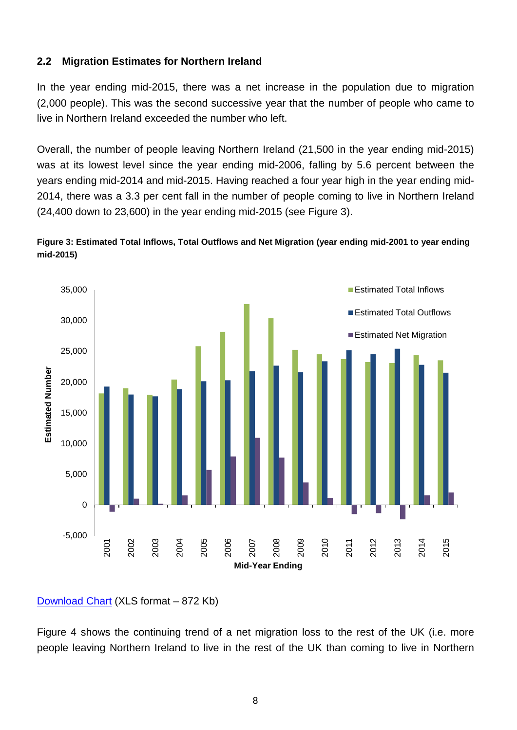#### <span id="page-7-0"></span>**2.2 Migration Estimates for Northern Ireland**

In the year ending mid-2015, there was a net increase in the population due to migration (2,000 people). This was the second successive year that the number of people who came to live in Northern Ireland exceeded the number who left.

Overall, the number of people leaving Northern Ireland (21,500 in the year ending mid-2015) was at its lowest level since the year ending mid-2006, falling by 5.6 percent between the years ending mid-2014 and mid-2015. Having reached a four year high in the year ending mid-2014, there was a 3.3 per cent fall in the number of people coming to live in Northern Ireland (24,400 down to 23,600) in the year ending mid-2015 (see Figure 3).





#### [Download Chart](http://www.nisra.gov.uk/archive/demography/population/migration/Mig1415-Fig3.xls) (XLS format – 872 Kb)

Figure 4 shows the continuing trend of a net migration loss to the rest of the UK (i.e. more people leaving Northern Ireland to live in the rest of the UK than coming to live in Northern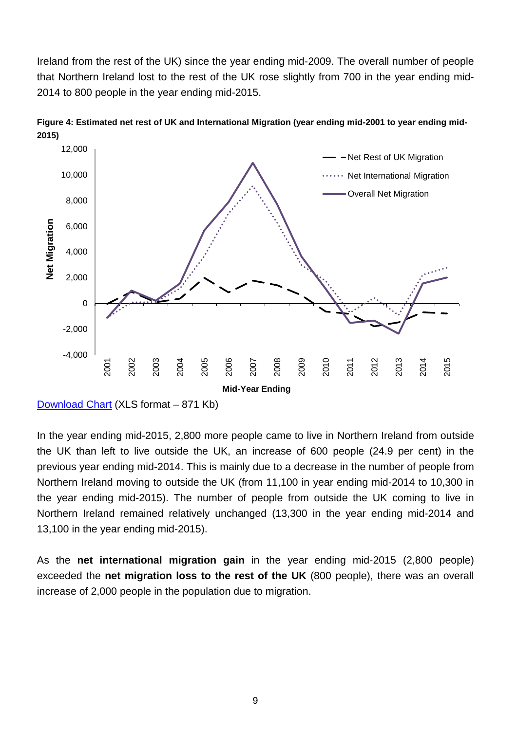Ireland from the rest of the UK) since the year ending mid-2009. The overall number of people that Northern Ireland lost to the rest of the UK rose slightly from 700 in the year ending mid-2014 to 800 people in the year ending mid-2015.



**Figure 4: Estimated net rest of UK and International Migration (year ending mid-2001 to year ending mid-2015)**

In the year ending mid-2015, 2,800 more people came to live in Northern Ireland from outside the UK than left to live outside the UK, an increase of 600 people (24.9 per cent) in the previous year ending mid-2014. This is mainly due to a decrease in the number of people from Northern Ireland moving to outside the UK (from 11,100 in year ending mid-2014 to 10,300 in the year ending mid-2015). The number of people from outside the UK coming to live in Northern Ireland remained relatively unchanged (13,300 in the year ending mid-2014 and 13,100 in the year ending mid-2015).

As the **net international migration gain** in the year ending mid-2015 (2,800 people) exceeded the **net migration loss to the rest of the UK** (800 people), there was an overall increase of 2,000 people in the population due to migration.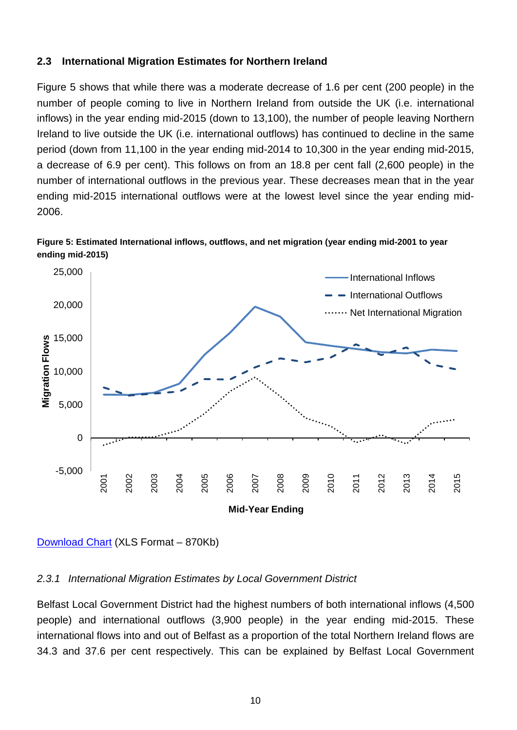#### <span id="page-9-0"></span>**2.3 International Migration Estimates for Northern Ireland**

Figure 5 shows that while there was a moderate decrease of 1.6 per cent (200 people) in the number of people coming to live in Northern Ireland from outside the UK (i.e. international inflows) in the year ending mid-2015 (down to 13,100), the number of people leaving Northern Ireland to live outside the UK (i.e. international outflows) has continued to decline in the same period (down from 11,100 in the year ending mid-2014 to 10,300 in the year ending mid-2015, a decrease of 6.9 per cent). This follows on from an 18.8 per cent fall (2,600 people) in the number of international outflows in the previous year. These decreases mean that in the year ending mid-2015 international outflows were at the lowest level since the year ending mid-2006.





[Download Chart](http://www.nisra.gov.uk/archive/demography/population/migration/Mig1415-Fig5.xls) (XLS Format – 870Kb)

#### <span id="page-9-1"></span>*2.3.1 International Migration Estimates by Local Government District*

Belfast Local Government District had the highest numbers of both international inflows (4,500 people) and international outflows (3,900 people) in the year ending mid-2015. These international flows into and out of Belfast as a proportion of the total Northern Ireland flows are 34.3 and 37.6 per cent respectively. This can be explained by Belfast Local Government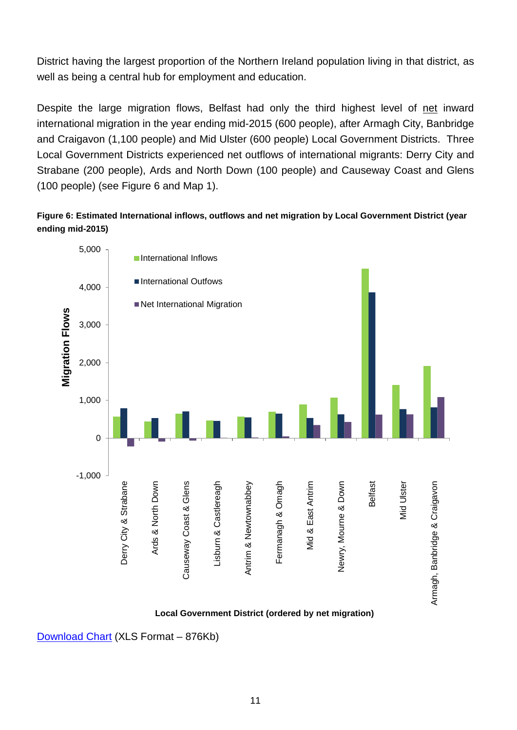District having the largest proportion of the Northern Ireland population living in that district, as well as being a central hub for employment and education.

Despite the large migration flows, Belfast had only the third highest level of net inward international migration in the year ending mid-2015 (600 people), after Armagh City, Banbridge and Craigavon (1,100 people) and Mid Ulster (600 people) Local Government Districts. Three Local Government Districts experienced net outflows of international migrants: Derry City and Strabane (200 people), Ards and North Down (100 people) and Causeway Coast and Glens (100 people) (see Figure 6 and Map 1).

**Figure 6: Estimated International inflows, outflows and net migration by Local Government District (year ending mid-2015)**



#### **Local Government District (ordered by net migration)**

[Download Chart](http://www.nisra.gov.uk/archive/demography/population/migration/Mig1415-Fig6.xls) (XLS Format – 876Kb)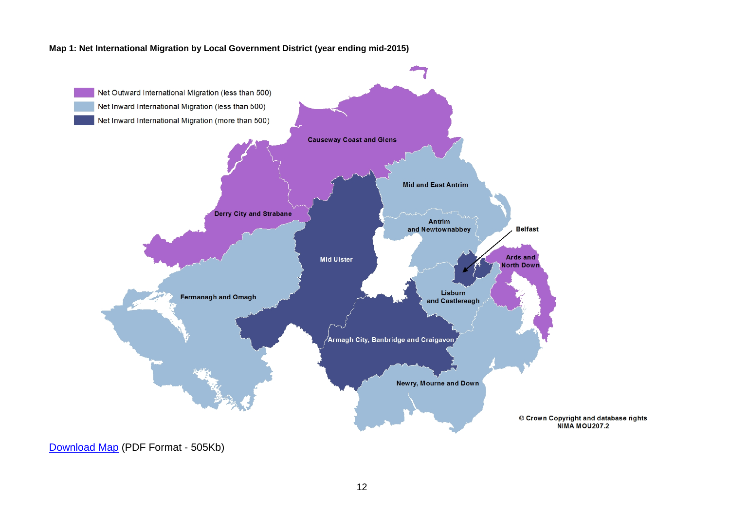#### **Map 1: Net International Migration by Local Government District (year ending mid-2015)**

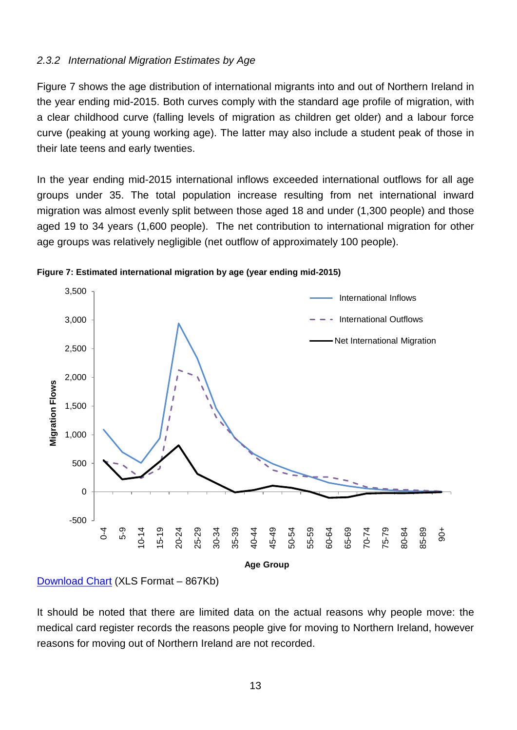#### <span id="page-12-0"></span>*2.3.2 International Migration Estimates by Age*

Figure 7 shows the age distribution of international migrants into and out of Northern Ireland in the year ending mid-2015. Both curves comply with the standard age profile of migration, with a clear childhood curve (falling levels of migration as children get older) and a labour force curve (peaking at young working age). The latter may also include a student peak of those in their late teens and early twenties.

In the year ending mid-2015 international inflows exceeded international outflows for all age groups under 35. The total population increase resulting from net international inward migration was almost evenly split between those aged 18 and under (1,300 people) and those aged 19 to 34 years (1,600 people). The net contribution to international migration for other age groups was relatively negligible (net outflow of approximately 100 people).





It should be noted that there are limited data on the actual reasons why people move: the medical card register records the reasons people give for moving to Northern Ireland, however reasons for moving out of Northern Ireland are not recorded.

[Download Chart](http://www.nisra.gov.uk/archive/demography/population/migration/Mig1415-Fig7.xls) (XLS Format – 867Kb)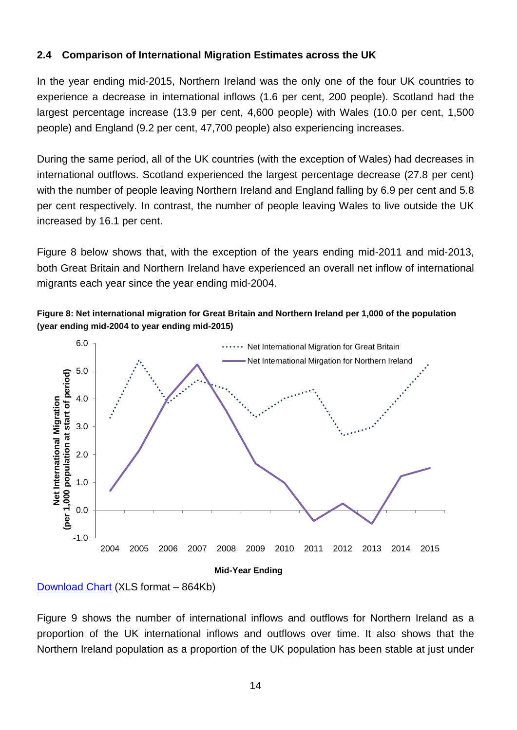## <span id="page-13-0"></span>**2.4 Comparison of International Migration Estimates across the UK**

In the year ending mid-2015, Northern Ireland was the only one of the four UK countries to experience a decrease in international inflows (1.6 per cent, 200 people). Scotland had the largest percentage increase (13.9 per cent, 4,600 people) with Wales (10.0 per cent, 1,500 people) and England (9.2 per cent, 47,700 people) also experiencing increases.

During the same period, all of the UK countries (with the exception of Wales) had decreases in international outflows. Scotland experienced the largest percentage decrease (27.8 per cent) with the number of people leaving Northern Ireland and England falling by 6.9 per cent and 5.8 per cent respectively. In contrast, the number of people leaving Wales to live outside the UK increased by 16.1 per cent.

Figure 8 below shows that, with the exception of the years ending mid-2011 and mid-2013, both Great Britain and Northern Ireland have experienced an overall net inflow of international migrants each year since the year ending mid-2004.

**Figure 8: Net international migration for Great Britain and Northern Ireland per 1,000 of the population (year ending mid-2004 to year ending mid-2015)**



Figure 9 shows the number of international inflows and outflows for Northern Ireland as a proportion of the UK international inflows and outflows over time. It also shows that the Northern Ireland population as a proportion of the UK population has been stable at just under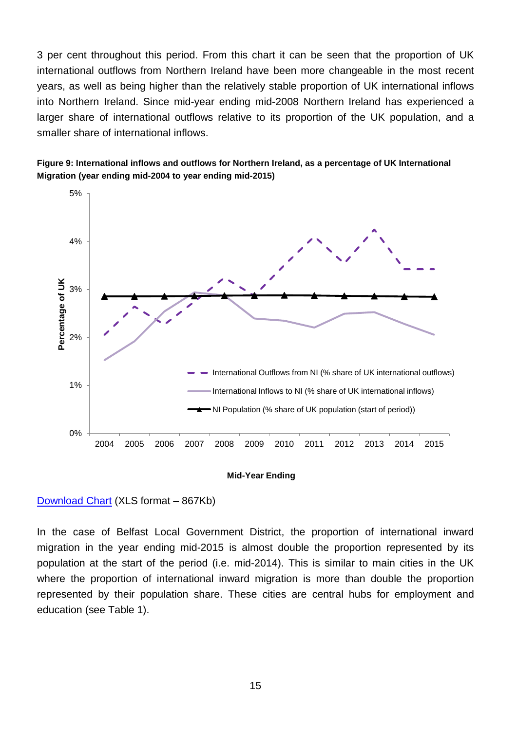3 per cent throughout this period. From this chart it can be seen that the proportion of UK international outflows from Northern Ireland have been more changeable in the most recent years, as well as being higher than the relatively stable proportion of UK international inflows into Northern Ireland. Since mid-year ending mid-2008 Northern Ireland has experienced a larger share of international outflows relative to its proportion of the UK population, and a smaller share of international inflows.





#### **Mid-Year Ending**

#### [Download Chart](http://www.nisra.gov.uk/archive/demography/population/migration/Mig1415-Fig9.xls) (XLS format – 867Kb)

In the case of Belfast Local Government District, the proportion of international inward migration in the year ending mid-2015 is almost double the proportion represented by its population at the start of the period (i.e. mid-2014). This is similar to main cities in the UK where the proportion of international inward migration is more than double the proportion represented by their population share. These cities are central hubs for employment and education (see Table 1).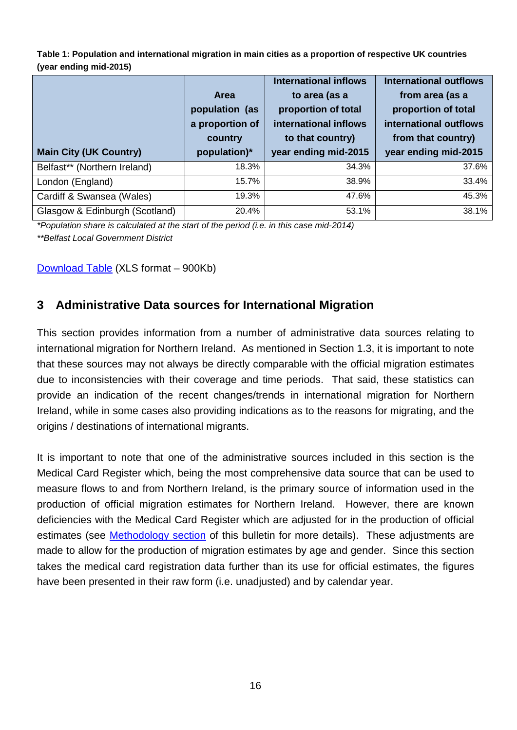**Table 1: Population and international migration in main cities as a proportion of respective UK countries (year ending mid-2015)**

|                               |                 | <b>International inflows</b> | <b>International outflows</b> |
|-------------------------------|-----------------|------------------------------|-------------------------------|
|                               | <b>Area</b>     | to area (as a                | from area (as a               |
|                               | population (as  | proportion of total          | proportion of total           |
|                               | a proportion of | international inflows        | international outflows        |
|                               | country         | to that country)             | from that country)            |
|                               |                 |                              |                               |
| <b>Main City (UK Country)</b> | population)*    | year ending mid-2015         | year ending mid-2015          |
| Belfast** (Northern Ireland)  | 18.3%           | 34.3%                        | 37.6%                         |
| London (England)              | 15.7%           | 38.9%                        | 33.4%                         |
| Cardiff & Swansea (Wales)     | 19.3%           | 47.6%                        | 45.3%                         |

*\*Population share is calculated at the start of the period (i.e. in this case mid-2014) \*\*Belfast Local Government District*

<span id="page-15-0"></span>[Download Table](http://www.nisra.gov.uk/archive/demography/population/migration/Mig1415-Table1.xls) (XLS format – 900Kb)

# **3 Administrative Data sources for International Migration**

This section provides information from a number of administrative data sources relating to international migration for Northern Ireland. As mentioned in Section 1.3, it is important to note that these sources may not always be directly comparable with the official migration estimates due to inconsistencies with their coverage and time periods. That said, these statistics can provide an indication of the recent changes/trends in international migration for Northern Ireland, while in some cases also providing indications as to the reasons for migrating, and the origins / destinations of international migrants.

It is important to note that one of the administrative sources included in this section is the Medical Card Register which, being the most comprehensive data source that can be used to measure flows to and from Northern Ireland, is the primary source of information used in the production of official migration estimates for Northern Ireland. However, there are known deficiencies with the Medical Card Register which are adjusted for in the production of official estimates (see [Methodology section](#page-27-1) of this bulletin for more details). These adjustments are made to allow for the production of migration estimates by age and gender. Since this section takes the medical card registration data further than its use for official estimates, the figures have been presented in their raw form (i.e. unadjusted) and by calendar year.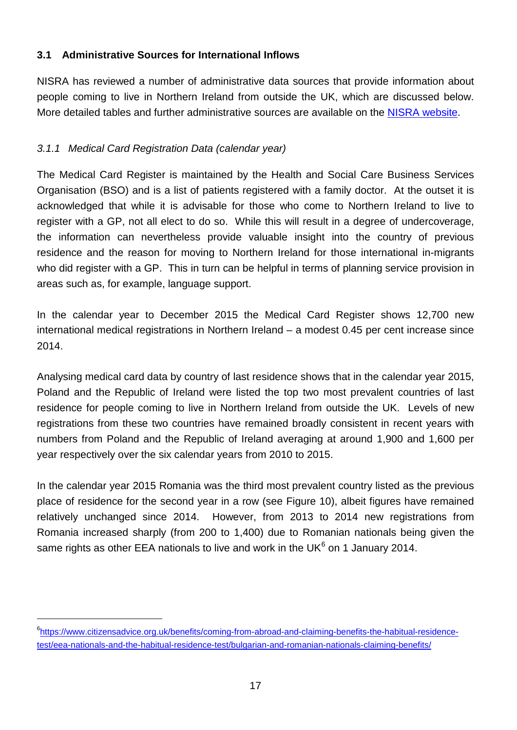## <span id="page-16-0"></span>**3.1 Administrative Sources for International Inflows**

NISRA has reviewed a number of administrative data sources that provide information about people coming to live in Northern Ireland from outside the UK, which are discussed below. More detailed tables and further administrative sources are available on the [NISRA website.](http://www.nisra.gov.uk/demography/default.asp18.htm)

## <span id="page-16-1"></span>*3.1.1 Medical Card Registration Data (calendar year)*

The Medical Card Register is maintained by the Health and Social Care Business Services Organisation (BSO) and is a list of patients registered with a family doctor. At the outset it is acknowledged that while it is advisable for those who come to Northern Ireland to live to register with a GP, not all elect to do so. While this will result in a degree of undercoverage, the information can nevertheless provide valuable insight into the country of previous residence and the reason for moving to Northern Ireland for those international in-migrants who did register with a GP. This in turn can be helpful in terms of planning service provision in areas such as, for example, language support.

In the calendar year to December 2015 the Medical Card Register shows 12,700 new international medical registrations in Northern Ireland – a modest 0.45 per cent increase since 2014.

Analysing medical card data by country of last residence shows that in the calendar year 2015, Poland and the Republic of Ireland were listed the top two most prevalent countries of last residence for people coming to live in Northern Ireland from outside the UK. Levels of new registrations from these two countries have remained broadly consistent in recent years with numbers from Poland and the Republic of Ireland averaging at around 1,900 and 1,600 per year respectively over the six calendar years from 2010 to 2015.

In the calendar year 2015 Romania was the third most prevalent country listed as the previous place of residence for the second year in a row (see Figure 10), albeit figures have remained relatively unchanged since 2014. However, from 2013 to 2014 new registrations from Romania increased sharply (from 200 to 1,400) due to Romanian nationals being given the same rights as other EEA nationals to live and work in the UK $<sup>6</sup>$  $<sup>6</sup>$  $<sup>6</sup>$  on 1 January 2014.</sup>

<span id="page-16-2"></span> $\overline{6}$ [https://www.citizensadvice.org.uk/benefits/coming-from-abroad-and-claiming-benefits-the-habitual-residence](https://www.citizensadvice.org.uk/benefits/coming-from-abroad-and-claiming-benefits-the-habitual-residence-test/eea-nationals-and-the-habitual-residence-test/bulgarian-and-romanian-nationals-claiming-benefits/)[test/eea-nationals-and-the-habitual-residence-test/bulgarian-and-romanian-nationals-claiming-benefits/](https://www.citizensadvice.org.uk/benefits/coming-from-abroad-and-claiming-benefits-the-habitual-residence-test/eea-nationals-and-the-habitual-residence-test/bulgarian-and-romanian-nationals-claiming-benefits/)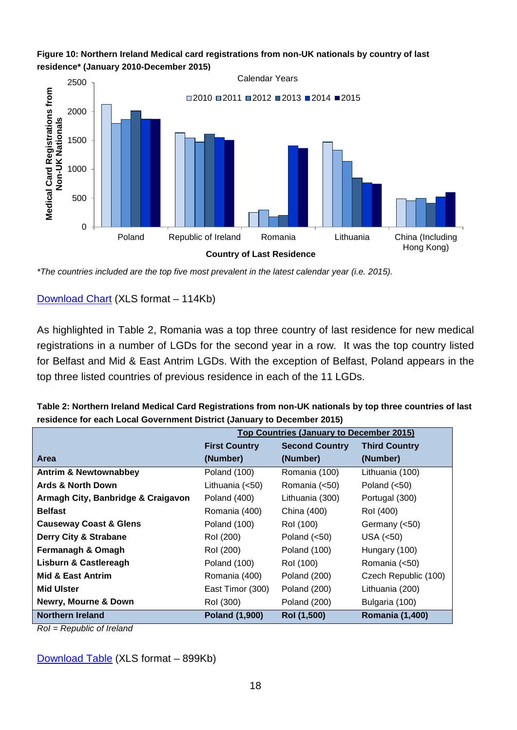

#### **Figure 10: Northern Ireland Medical card registrations from non-UK nationals by country of last residence\* (January 2010-December 2015)**

*\*The countries included are the top five most prevalent in the latest calendar year (i.e. 2015).*

[Download Chart](http://www.nisra.gov.uk/archive/demography/population/migration/Mig1415-Fig10.xls) (XLS format – 114Kb)

As highlighted in Table 2, Romania was a top three country of last residence for new medical registrations in a number of LGDs for the second year in a row. It was the top country listed for Belfast and Mid & East Antrim LGDs. With the exception of Belfast, Poland appears in the top three listed countries of previous residence in each of the 11 LGDs.

| Table 2: Northern Ireland Medical Card Registrations from non-UK nationals by top three countries of last |
|-----------------------------------------------------------------------------------------------------------|
| residence for each Local Government District (January to December 2015)                                   |
| Ton Countries (January to December 2015)                                                                  |

|                                    | <b>Top Countries (January to December 2015)</b> |                       |                        |
|------------------------------------|-------------------------------------------------|-----------------------|------------------------|
|                                    | <b>First Country</b>                            | <b>Second Country</b> | <b>Third Country</b>   |
| <b>Area</b>                        | (Number)                                        | (Number)              | (Number)               |
| <b>Antrim &amp; Newtownabbey</b>   | Poland (100)                                    | Romania (100)         | Lithuania (100)        |
| Ards & North Down                  | Lithuania (<50)                                 | Romania (<50)         | Poland $(<50)$         |
| Armagh City, Banbridge & Craigavon | Poland (400)                                    | Lithuania (300)       | Portugal (300)         |
| <b>Belfast</b>                     | Romania (400)                                   | China (400)           | Rol (400)              |
| <b>Causeway Coast &amp; Glens</b>  | Poland (100)                                    | Rol (100)             | Germany (<50)          |
| Derry City & Strabane              | Rol (200)                                       | Poland $(<50)$        | USA $(50)$             |
| Fermanagh & Omagh                  | Rol (200)                                       | Poland (100)          | Hungary (100)          |
| <b>Lisburn &amp; Castlereagh</b>   | <b>Poland (100)</b>                             | Rol (100)             | Romania (<50)          |
| <b>Mid &amp; East Antrim</b>       | Romania (400)                                   | <b>Poland (200)</b>   | Czech Republic (100)   |
| <b>Mid Ulster</b>                  | East Timor (300)                                | <b>Poland (200)</b>   | Lithuania (200)        |
| Newry, Mourne & Down               | Rol (300)                                       | <b>Poland (200)</b>   | Bulgaria (100)         |
| Northern Ireland                   | Poland (1,900)                                  | Rol (1,500)           | <b>Romania (1,400)</b> |

*RoI = Republic of Ireland*

[Download Table](http://www.nisra.gov.uk/archive/demography/population/migration/Mig1415-Table2.xls) (XLS format – 899Kb)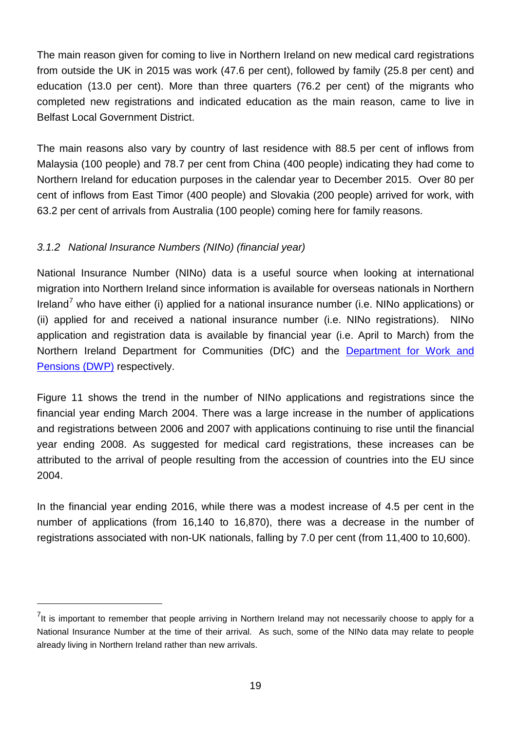The main reason given for coming to live in Northern Ireland on new medical card registrations from outside the UK in 2015 was work (47.6 per cent), followed by family (25.8 per cent) and education (13.0 per cent). More than three quarters (76.2 per cent) of the migrants who completed new registrations and indicated education as the main reason, came to live in Belfast Local Government District.

The main reasons also vary by country of last residence with 88.5 per cent of inflows from Malaysia (100 people) and 78.7 per cent from China (400 people) indicating they had come to Northern Ireland for education purposes in the calendar year to December 2015. Over 80 per cent of inflows from East Timor (400 people) and Slovakia (200 people) arrived for work, with 63.2 per cent of arrivals from Australia (100 people) coming here for family reasons.

## <span id="page-18-0"></span>*3.1.2 National Insurance Numbers (NINo) (financial year)*

 $\overline{a}$ 

National Insurance Number (NINo) data is a useful source when looking at international migration into Northern Ireland since information is available for overseas nationals in Northern Ireland<sup>[7](#page-18-1)</sup> who have either (i) applied for a national insurance number (i.e. NINo applications) or (ii) applied for and received a national insurance number (i.e. NINo registrations). NINo application and registration data is available by financial year (i.e. April to March) from the Northern Ireland Department for Communities (DfC) and the [Department for Work and](https://www.gov.uk/government/statistics/national-insurance-number-allocations-to-adult-overseas-nationals-to-june-2016)  [Pensions \(DWP\)](https://www.gov.uk/government/statistics/national-insurance-number-allocations-to-adult-overseas-nationals-to-june-2016) respectively.

Figure 11 shows the trend in the number of NINo applications and registrations since the financial year ending March 2004. There was a large increase in the number of applications and registrations between 2006 and 2007 with applications continuing to rise until the financial year ending 2008. As suggested for medical card registrations, these increases can be attributed to the arrival of people resulting from the accession of countries into the EU since 2004.

In the financial year ending 2016, while there was a modest increase of 4.5 per cent in the number of applications (from 16,140 to 16,870), there was a decrease in the number of registrations associated with non-UK nationals, falling by 7.0 per cent (from 11,400 to 10,600).

<span id="page-18-1"></span> $<sup>7</sup>$ It is important to remember that people arriving in Northern Ireland may not necessarily choose to apply for a</sup> National Insurance Number at the time of their arrival. As such, some of the NINo data may relate to people already living in Northern Ireland rather than new arrivals.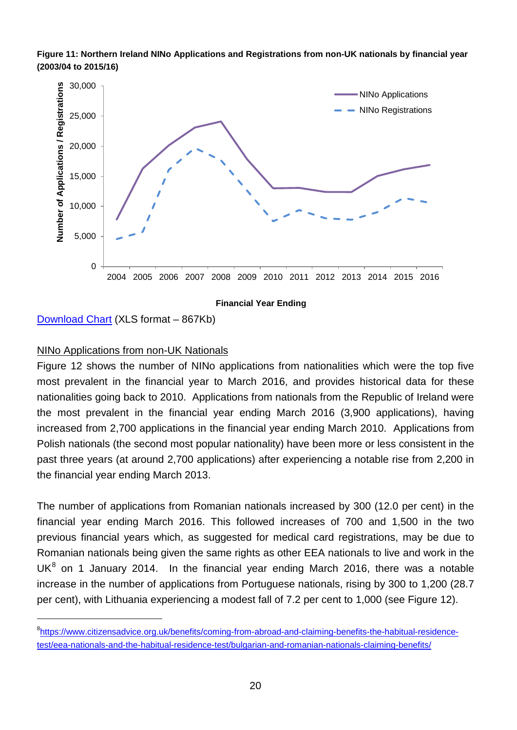



[Download Chart](http://www.nisra.gov.uk/archive/demography/population/migration/Mig1415-Fig11.xls) (XLS format – 867Kb)

### NINo Applications from non-UK Nationals

Figure 12 shows the number of NINo applications from nationalities which were the top five most prevalent in the financial year to March 2016, and provides historical data for these nationalities going back to 2010. Applications from nationals from the Republic of Ireland were the most prevalent in the financial year ending March 2016 (3,900 applications), having increased from 2,700 applications in the financial year ending March 2010. Applications from Polish nationals (the second most popular nationality) have been more or less consistent in the past three years (at around 2,700 applications) after experiencing a notable rise from 2,200 in the financial year ending March 2013.

The number of applications from Romanian nationals increased by 300 (12.0 per cent) in the financial year ending March 2016. This followed increases of 700 and 1,500 in the two previous financial years which, as suggested for medical card registrations, may be due to Romanian nationals being given the same rights as other EEA nationals to live and work in the  $UK<sup>8</sup>$  $UK<sup>8</sup>$  $UK<sup>8</sup>$  on 1 January 2014. In the financial year ending March 2016, there was a notable increase in the number of applications from Portuguese nationals, rising by 300 to 1,200 (28.7 per cent), with Lithuania experiencing a modest fall of 7.2 per cent to 1,000 (see Figure 12).

<span id="page-19-0"></span> $\overline{8}$ [https://www.citizensadvice.org.uk/benefits/coming-from-abroad-and-claiming-benefits-the-habitual-residence](https://www.citizensadvice.org.uk/benefits/coming-from-abroad-and-claiming-benefits-the-habitual-residence-test/eea-nationals-and-the-habitual-residence-test/bulgarian-and-romanian-nationals-claiming-benefits/)[test/eea-nationals-and-the-habitual-residence-test/bulgarian-and-romanian-nationals-claiming-benefits/](https://www.citizensadvice.org.uk/benefits/coming-from-abroad-and-claiming-benefits-the-habitual-residence-test/eea-nationals-and-the-habitual-residence-test/bulgarian-and-romanian-nationals-claiming-benefits/)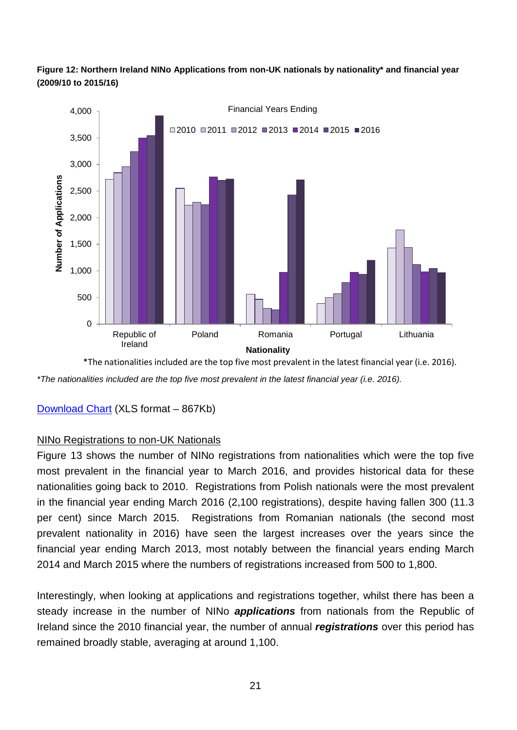



*\*The nationalities included are the top five most prevalent in the latest financial year (i.e. 2016).* \*The nationalities included are the top five most prevalent in the latest financial year (i.e. 2016).

[Download Chart](http://www.nisra.gov.uk/archive/demography/population/migration/Mig1415-Fig12.xls) (XLS format – 867Kb)

### NINo Registrations to non-UK Nationals

Figure 13 shows the number of NINo registrations from nationalities which were the top five most prevalent in the financial year to March 2016, and provides historical data for these nationalities going back to 2010. Registrations from Polish nationals were the most prevalent in the financial year ending March 2016 (2,100 registrations), despite having fallen 300 (11.3 per cent) since March 2015. Registrations from Romanian nationals (the second most prevalent nationality in 2016) have seen the largest increases over the years since the financial year ending March 2013, most notably between the financial years ending March 2014 and March 2015 where the numbers of registrations increased from 500 to 1,800.

Interestingly, when looking at applications and registrations together, whilst there has been a steady increase in the number of NINo *applications* from nationals from the Republic of Ireland since the 2010 financial year, the number of annual *registrations* over this period has remained broadly stable, averaging at around 1,100.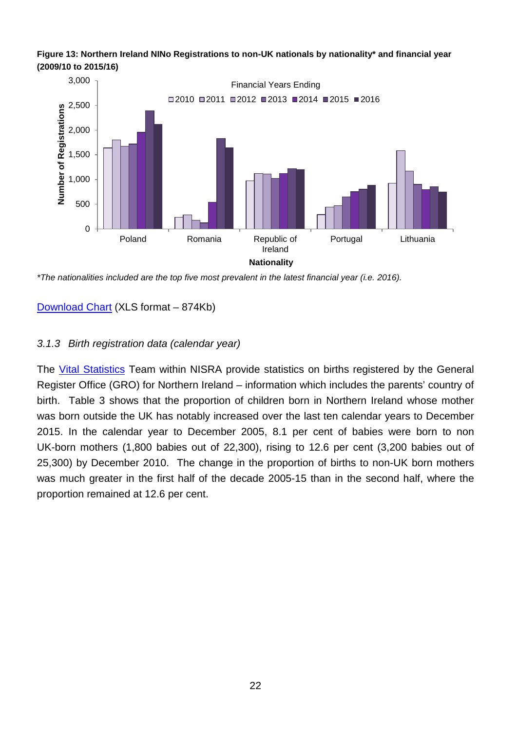



*\*The nationalities included are the top five most prevalent in the latest financial year (i.e. 2016).*

[Download Chart](http://www.nisra.gov.uk/archive/demography/population/migration/Mig1415-Fig13.xls) (XLS format – 874Kb)

### <span id="page-21-0"></span>*3.1.3 Birth registration data (calendar year)*

The [Vital Statistics](http://www.nisra.gov.uk/demography/default.asp2.htm) Team within NISRA provide statistics on births registered by the General Register Office (GRO) for Northern Ireland – information which includes the parents' country of birth. Table 3 shows that the proportion of children born in Northern Ireland whose mother was born outside the UK has notably increased over the last ten calendar years to December 2015. In the calendar year to December 2005, 8.1 per cent of babies were born to non UK-born mothers (1,800 babies out of 22,300), rising to 12.6 per cent (3,200 babies out of 25,300) by December 2010. The change in the proportion of births to non-UK born mothers was much greater in the first half of the decade 2005-15 than in the second half, where the proportion remained at 12.6 per cent.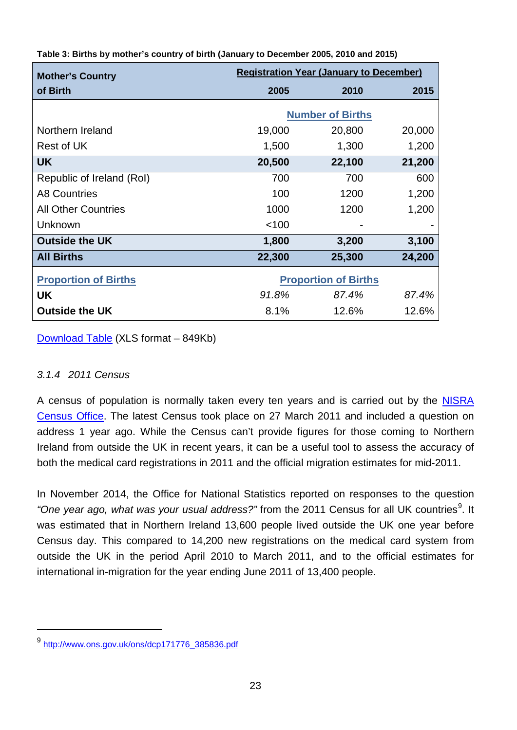| <b>Mother's Country</b>     | <b>Registration Year (January to December)</b> |                             |        |
|-----------------------------|------------------------------------------------|-----------------------------|--------|
| of Birth                    | 2005                                           | 2010                        | 2015   |
|                             |                                                | <b>Number of Births</b>     |        |
| Northern Ireland            | 19,000                                         | 20,800                      | 20,000 |
| Rest of UK                  | 1,500                                          | 1,300                       | 1,200  |
| UK.                         | 20,500                                         | 22,100                      | 21,200 |
| Republic of Ireland (RoI)   | 700                                            | 700                         | 600    |
| <b>A8 Countries</b>         | 100                                            | 1200                        | 1,200  |
| <b>All Other Countries</b>  | 1000                                           | 1200                        | 1,200  |
| Unknown                     | < 100                                          |                             |        |
| <b>Outside the UK</b>       | 1,800                                          | 3,200                       | 3,100  |
| <b>All Births</b>           | 22,300                                         | 25,300                      | 24,200 |
| <b>Proportion of Births</b> |                                                | <b>Proportion of Births</b> |        |
| UK                          | 91.8%                                          | 87.4%                       | 87.4%  |
| <b>Outside the UK</b>       | 8.1%                                           | 12.6%                       | 12.6%  |

**Table 3: Births by mother's country of birth (January to December 2005, 2010 and 2015)**

[Download Table](http://www.nisra.gov.uk/archive/demography/population/migration/Mig1415-Table3.xls) (XLS format – 849Kb)

### <span id="page-22-0"></span>*3.1.4 2011 Census*

 $\overline{a}$ 

A census of population is normally taken every ten years and is carried out by the [NISRA](http://www.nisra.gov.uk/census.html)  [Census Office.](http://www.nisra.gov.uk/census.html) The latest Census took place on 27 March 2011 and included a question on address 1 year ago. While the Census can't provide figures for those coming to Northern Ireland from outside the UK in recent years, it can be a useful tool to assess the accuracy of both the medical card registrations in 2011 and the official migration estimates for mid-2011.

In November 2014, the Office for National Statistics reported on responses to the question "One year ago, what was your usual address?" from the 2011 Census for all UK countries<sup>[9](#page-22-1)</sup>. It was estimated that in Northern Ireland 13,600 people lived outside the UK one year before Census day. This compared to 14,200 new registrations on the medical card system from outside the UK in the period April 2010 to March 2011, and to the official estimates for international in-migration for the year ending June 2011 of 13,400 people.

<span id="page-22-1"></span><sup>9</sup> [http://www.ons.gov.uk/ons/dcp171776\\_385836.pdf](http://www.ons.gov.uk/ons/dcp171776_385836.pdf)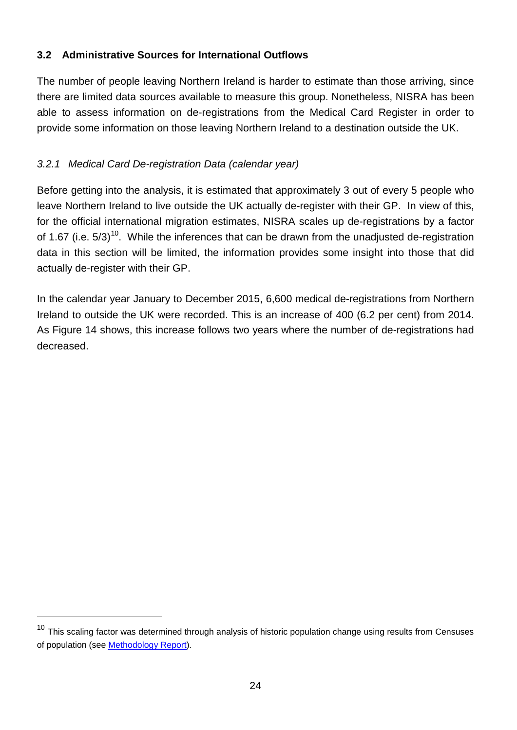## <span id="page-23-0"></span>**3.2 Administrative Sources for International Outflows**

The number of people leaving Northern Ireland is harder to estimate than those arriving, since there are limited data sources available to measure this group. Nonetheless, NISRA has been able to assess information on de-registrations from the Medical Card Register in order to provide some information on those leaving Northern Ireland to a destination outside the UK.

# <span id="page-23-1"></span>*3.2.1 Medical Card De-registration Data (calendar year)*

 $\overline{a}$ 

Before getting into the analysis, it is estimated that approximately 3 out of every 5 people who leave Northern Ireland to live outside the UK actually de-register with their GP. In view of this, for the official international migration estimates, NISRA scales up de-registrations by a factor of 1.67 (i.e.  $5/3$ )<sup>10</sup>. While the inferences that can be drawn from the unadjusted de-registration data in this section will be limited, the information provides some insight into those that did actually de-register with their GP.

In the calendar year January to December 2015, 6,600 medical de-registrations from Northern Ireland to outside the UK were recorded. This is an increase of 400 (6.2 per cent) from 2014. As Figure 14 shows, this increase follows two years where the number of de-registrations had decreased.

<span id="page-23-2"></span> $10$  This scaling factor was determined through analysis of historic population change using results from Censuses of population (see [Methodology Report\)](http://www.nisra.gov.uk/archive/demography/population/midyear/Methodology_2015.pdf).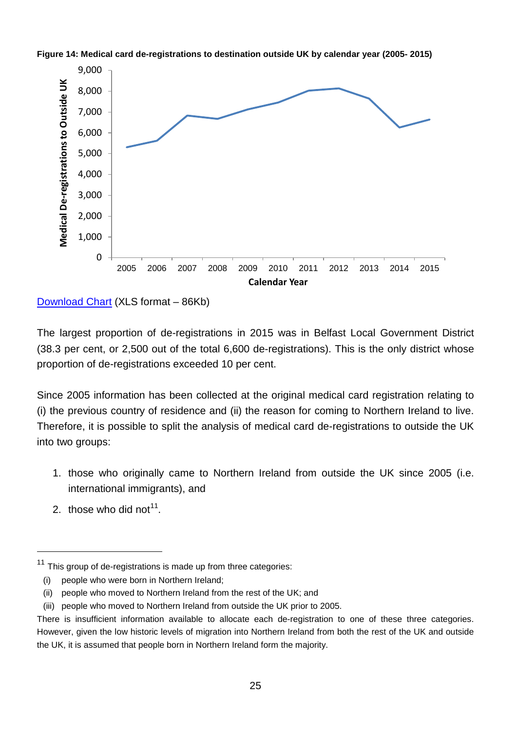



[Download Chart](http://www.nisra.gov.uk/archive/demography/population/migration/Mig1415-Fig14.xls) (XLS format – 86Kb)

The largest proportion of de-registrations in 2015 was in Belfast Local Government District (38.3 per cent, or 2,500 out of the total 6,600 de-registrations). This is the only district whose proportion of de-registrations exceeded 10 per cent.

Since 2005 information has been collected at the original medical card registration relating to (i) the previous country of residence and (ii) the reason for coming to Northern Ireland to live. Therefore, it is possible to split the analysis of medical card de-registrations to outside the UK into two groups:

- 1. those who originally came to Northern Ireland from outside the UK since 2005 (i.e. international immigrants), and
- 2. those who did not<sup>[11](#page-24-0)</sup>.

 $\overline{a}$ 

<span id="page-24-0"></span> $11$  This group of de-registrations is made up from three categories:

<sup>(</sup>i) people who were born in Northern Ireland;

<sup>(</sup>ii) people who moved to Northern Ireland from the rest of the UK; and

<sup>(</sup>iii) people who moved to Northern Ireland from outside the UK prior to 2005.

There is insufficient information available to allocate each de-registration to one of these three categories. However, given the low historic levels of migration into Northern Ireland from both the rest of the UK and outside the UK, it is assumed that people born in Northern Ireland form the majority.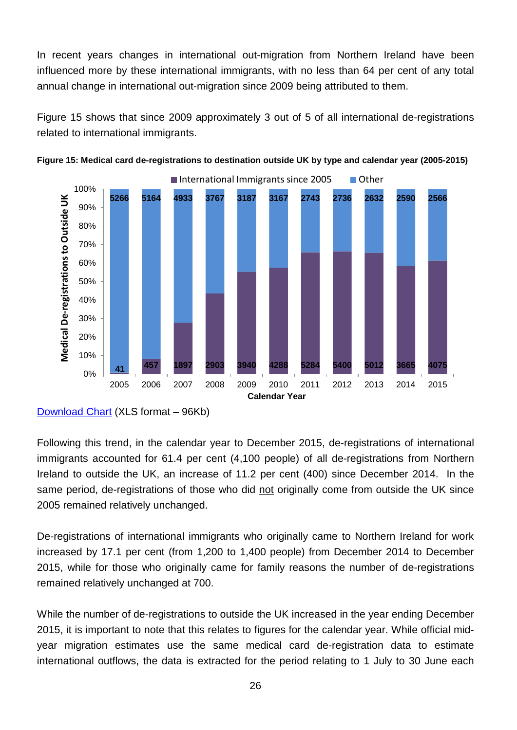In recent years changes in international out-migration from Northern Ireland have been influenced more by these international immigrants, with no less than 64 per cent of any total annual change in international out-migration since 2009 being attributed to them.

Figure 15 shows that since 2009 approximately 3 out of 5 of all international de-registrations related to international immigrants.





Following this trend, in the calendar year to December 2015, de-registrations of international immigrants accounted for 61.4 per cent (4,100 people) of all de-registrations from Northern Ireland to outside the UK, an increase of 11.2 per cent (400) since December 2014. In the same period, de-registrations of those who did not originally come from outside the UK since 2005 remained relatively unchanged.

De-registrations of international immigrants who originally came to Northern Ireland for work increased by 17.1 per cent (from 1,200 to 1,400 people) from December 2014 to December 2015, while for those who originally came for family reasons the number of de-registrations remained relatively unchanged at 700.

While the number of de-registrations to outside the UK increased in the year ending December 2015, it is important to note that this relates to figures for the calendar year. While official midyear migration estimates use the same medical card de-registration data to estimate international outflows, the data is extracted for the period relating to 1 July to 30 June each

[Download Chart](http://www.nisra.gov.uk/archive/demography/population/migration/Mig1415-Fig15.xls) (XLS format – 96Kb)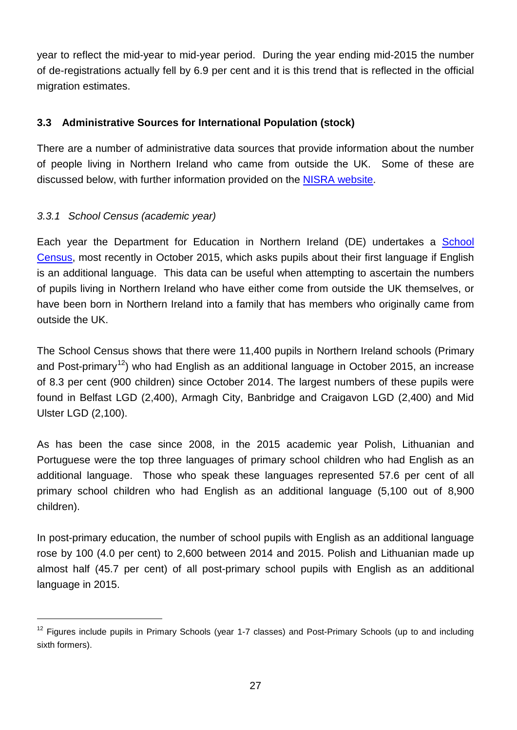year to reflect the mid-year to mid-year period. During the year ending mid-2015 the number of de-registrations actually fell by 6.9 per cent and it is this trend that is reflected in the official migration estimates.

# <span id="page-26-0"></span>**3.3 Administrative Sources for International Population (stock)**

There are a number of administrative data sources that provide information about the number of people living in Northern Ireland who came from outside the UK. Some of these are discussed below, with further information provided on the [NISRA website.](http://www.nisra.gov.uk/demography/default.asp18.htm)

# <span id="page-26-1"></span>*3.3.1 School Census (academic year)*

Each year the Department for Education in Northern Ireland (DE) undertakes a [School](http://www.deni.gov.uk/index/facts-and-figures-new/education-statistics/32_statistics_and_research-numbersofschoolsandpupils_pg.htm)  [Census,](http://www.deni.gov.uk/index/facts-and-figures-new/education-statistics/32_statistics_and_research-numbersofschoolsandpupils_pg.htm) most recently in October 2015, which asks pupils about their first language if English is an additional language. This data can be useful when attempting to ascertain the numbers of pupils living in Northern Ireland who have either come from outside the UK themselves, or have been born in Northern Ireland into a family that has members who originally came from outside the UK.

The School Census shows that there were 11,400 pupils in Northern Ireland schools (Primary and Post-primary<sup>[12](#page-26-2)</sup>) who had English as an additional language in October 2015, an increase of 8.3 per cent (900 children) since October 2014. The largest numbers of these pupils were found in Belfast LGD (2,400), Armagh City, Banbridge and Craigavon LGD (2,400) and Mid Ulster LGD (2,100).

As has been the case since 2008, in the 2015 academic year Polish, Lithuanian and Portuguese were the top three languages of primary school children who had English as an additional language. Those who speak these languages represented 57.6 per cent of all primary school children who had English as an additional language (5,100 out of 8,900 children).

In post-primary education, the number of school pupils with English as an additional language rose by 100 (4.0 per cent) to 2,600 between 2014 and 2015. Polish and Lithuanian made up almost half (45.7 per cent) of all post-primary school pupils with English as an additional language in 2015.

<span id="page-26-2"></span><sup>&</sup>lt;sup>12</sup> Figures include pupils in Primary Schools (year 1-7 classes) and Post-Primary Schools (up to and including sixth formers).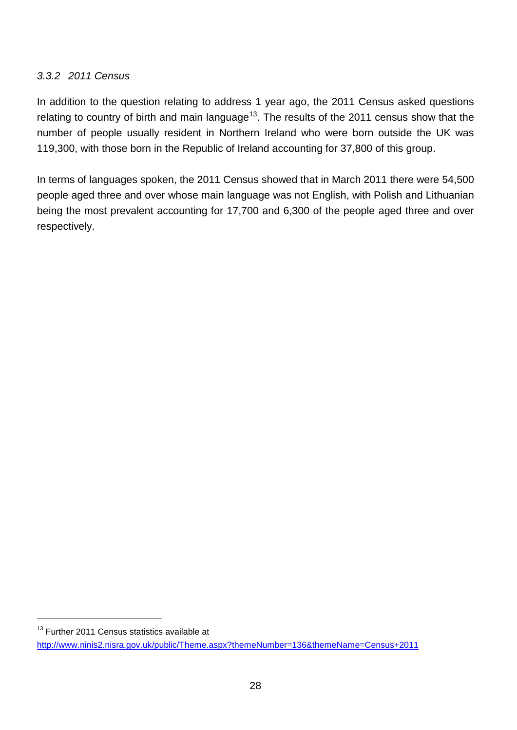### <span id="page-27-0"></span>*3.3.2 2011 Census*

In addition to the question relating to address 1 year ago, the 2011 Census asked questions relating to country of birth and main language<sup>[13](#page-27-2)</sup>. The results of the 2011 census show that the number of people usually resident in Northern Ireland who were born outside the UK was 119,300, with those born in the Republic of Ireland accounting for 37,800 of this group.

<span id="page-27-1"></span>In terms of languages spoken, the 2011 Census showed that in March 2011 there were 54,500 people aged three and over whose main language was not English, with Polish and Lithuanian being the most prevalent accounting for 17,700 and 6,300 of the people aged three and over respectively.

<span id="page-27-2"></span><sup>13</sup> Further 2011 Census statistics available at

<http://www.ninis2.nisra.gov.uk/public/Theme.aspx?themeNumber=136&themeName=Census+2011>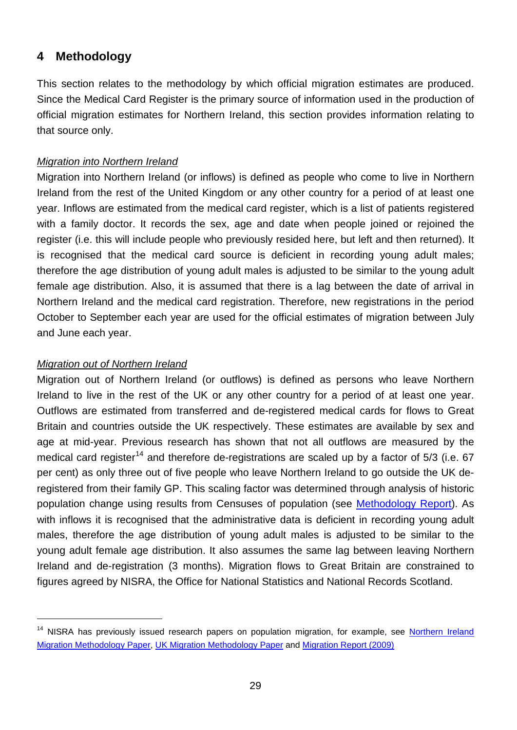# <span id="page-28-0"></span>**4 Methodology**

This section relates to the methodology by which official migration estimates are produced. Since the Medical Card Register is the primary source of information used in the production of official migration estimates for Northern Ireland, this section provides information relating to that source only.

#### *Migration into Northern Ireland*

Migration into Northern Ireland (or inflows) is defined as people who come to live in Northern Ireland from the rest of the United Kingdom or any other country for a period of at least one year. Inflows are estimated from the medical card register, which is a list of patients registered with a family doctor. It records the sex, age and date when people joined or rejoined the register (i.e. this will include people who previously resided here, but left and then returned). It is recognised that the medical card source is deficient in recording young adult males; therefore the age distribution of young adult males is adjusted to be similar to the young adult female age distribution. Also, it is assumed that there is a lag between the date of arrival in Northern Ireland and the medical card registration. Therefore, new registrations in the period October to September each year are used for the official estimates of migration between July and June each year.

#### *Migration out of Northern Ireland*

Migration out of Northern Ireland (or outflows) is defined as persons who leave Northern Ireland to live in the rest of the UK or any other country for a period of at least one year. Outflows are estimated from transferred and de-registered medical cards for flows to Great Britain and countries outside the UK respectively. These estimates are available by sex and age at mid-year. Previous research has shown that not all outflows are measured by the medical card register<sup>[14](#page-28-1)</sup> and therefore de-registrations are scaled up by a factor of  $5/3$  (i.e. 67 per cent) as only three out of five people who leave Northern Ireland to go outside the UK deregistered from their family GP. This scaling factor was determined through analysis of historic population change using results from Censuses of population (see [Methodology Report\)](http://www.nisra.gov.uk/archive/demography/population/midyear/Methodology_2015.pdf). As with inflows it is recognised that the administrative data is deficient in recording young adult males, therefore the age distribution of young adult males is adjusted to be similar to the young adult female age distribution. It also assumes the same lag between leaving Northern Ireland and de-registration (3 months). Migration flows to Great Britain are constrained to figures agreed by NISRA, the Office for National Statistics and National Records Scotland.

<span id="page-28-1"></span><sup>&</sup>lt;sup>14</sup> NISRA has previously issued research papers on population migration, for example, see **Northern Ireland** [Migration Methodology Paper,](http://www.nisra.gov.uk/archive/demography/population/migration/dev_est_mig.pdf) [UK Migration Methodology Paper](http://www.nisra.gov.uk/archive/demography/population/migration/UK_migration_paper(2005).pdf) and [Migration Report \(2009\)](http://www.nisra.gov.uk/archive/demography/population/migration/Migration%20Report%202009.pdf)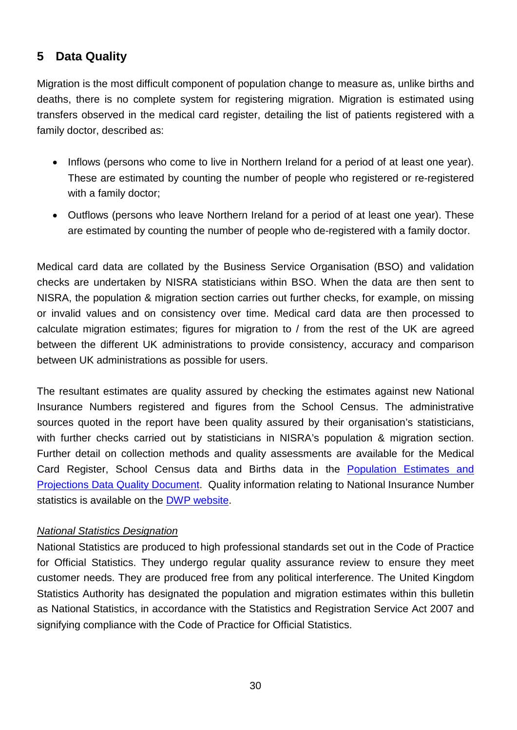# <span id="page-29-0"></span>**5 Data Quality**

Migration is the most difficult component of population change to measure as, unlike births and deaths, there is no complete system for registering migration. Migration is estimated using transfers observed in the medical card register, detailing the list of patients registered with a family doctor, described as:

- Inflows (persons who come to live in Northern Ireland for a period of at least one year). These are estimated by counting the number of people who registered or re-registered with a family doctor;
- Outflows (persons who leave Northern Ireland for a period of at least one year). These are estimated by counting the number of people who de-registered with a family doctor.

Medical card data are collated by the Business Service Organisation (BSO) and validation checks are undertaken by NISRA statisticians within BSO. When the data are then sent to NISRA, the population & migration section carries out further checks, for example, on missing or invalid values and on consistency over time. Medical card data are then processed to calculate migration estimates; figures for migration to / from the rest of the UK are agreed between the different UK administrations to provide consistency, accuracy and comparison between UK administrations as possible for users.

The resultant estimates are quality assured by checking the estimates against new National Insurance Numbers registered and figures from the School Census. The administrative sources quoted in the report have been quality assured by their organisation's statisticians, with further checks carried out by statisticians in NISRA's population & migration section. Further detail on collection methods and quality assessments are available for the Medical Card Register, School Census data and Births data in the [Population Estimates and](http://www.nisra.gov.uk/archive/demography/population/Population_DataQuality.pdf)  [Projections Data Quality Document.](http://www.nisra.gov.uk/archive/demography/population/Population_DataQuality.pdf) Quality information relating to National Insurance Number statistics is available on the [DWP website.](https://www.gov.uk/government/uploads/system/uploads/attachment_data/file/456819/Allocation_Process_and_Data_Collection_Methods.pdf)

### *National Statistics Designation*

National Statistics are produced to high professional standards set out in the Code of Practice for Official Statistics. They undergo regular quality assurance review to ensure they meet customer needs. They are produced free from any political interference. The United Kingdom Statistics Authority has designated the population and migration estimates within this bulletin as National Statistics, in accordance with the Statistics and Registration Service Act 2007 and signifying compliance with the Code of Practice for Official Statistics.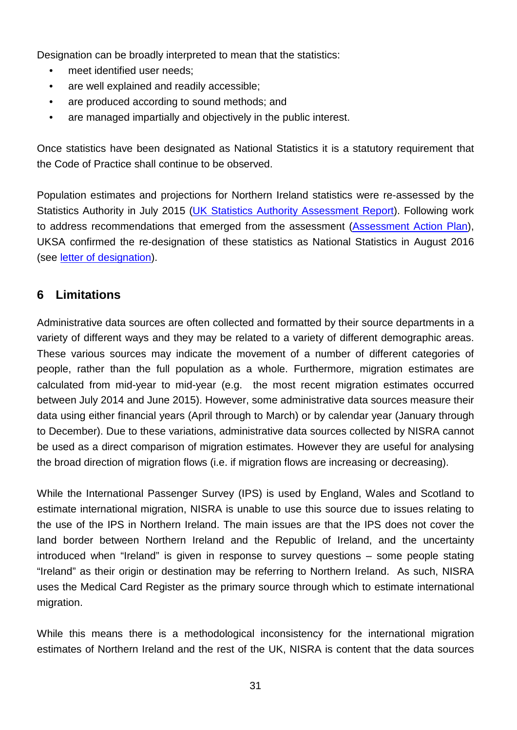Designation can be broadly interpreted to mean that the statistics:

- meet identified user needs:
- are well explained and readily accessible:
- are produced according to sound methods; and
- are managed impartially and objectively in the public interest.

Once statistics have been designated as National Statistics it is a statutory requirement that the Code of Practice shall continue to be observed.

Population estimates and projections for Northern Ireland statistics were re-assessed by the Statistics Authority in July 2015 [\(UK Statistics Authority Assessment Report\)](https://www.statisticsauthority.gov.uk/wp-content/uploads/2015/07/images-assessmentreport312populationestimatesandprojectionsfornorthernirelan_tcm97-44795-1.pdf). Following work to address recommendations that emerged from the assessment [\(Assessment Action Plan\)](http://www.nisra.gov.uk/archive/demography/population/UKSAAssessment312-ActionPlan.pdf), UKSA confirmed the re-designation of these statistics as National Statistics in August 2016 (see [letter of designation\)](http://www.nisra.gov.uk/archive/demography/population/UKSADesignationLetter.pdf).

# <span id="page-30-0"></span>**6 Limitations**

Administrative data sources are often collected and formatted by their source departments in a variety of different ways and they may be related to a variety of different demographic areas. These various sources may indicate the movement of a number of different categories of people, rather than the full population as a whole. Furthermore, migration estimates are calculated from mid-year to mid-year (e.g. the most recent migration estimates occurred between July 2014 and June 2015). However, some administrative data sources measure their data using either financial years (April through to March) or by calendar year (January through to December). Due to these variations, administrative data sources collected by NISRA cannot be used as a direct comparison of migration estimates. However they are useful for analysing the broad direction of migration flows (i.e. if migration flows are increasing or decreasing).

While the International Passenger Survey (IPS) is used by England, Wales and Scotland to estimate international migration, NISRA is unable to use this source due to issues relating to the use of the IPS in Northern Ireland. The main issues are that the IPS does not cover the land border between Northern Ireland and the Republic of Ireland, and the uncertainty introduced when "Ireland" is given in response to survey questions – some people stating "Ireland" as their origin or destination may be referring to Northern Ireland. As such, NISRA uses the Medical Card Register as the primary source through which to estimate international migration.

While this means there is a methodological inconsistency for the international migration estimates of Northern Ireland and the rest of the UK, NISRA is content that the data sources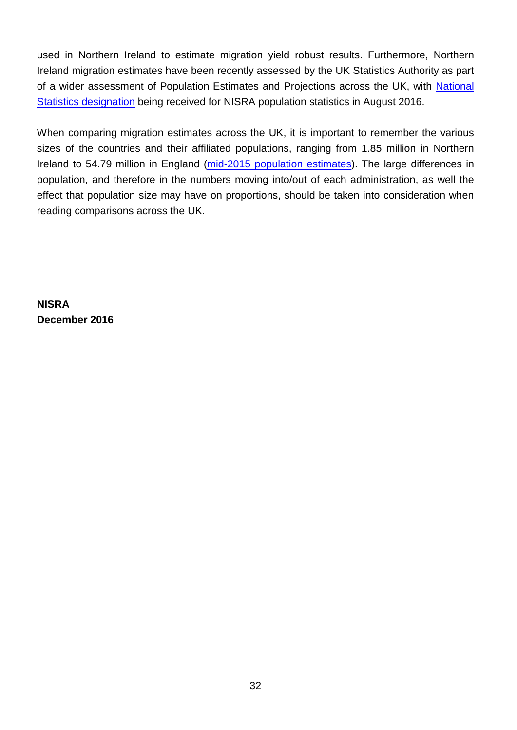used in Northern Ireland to estimate migration yield robust results. Furthermore, Northern Ireland migration estimates have been recently assessed by the UK Statistics Authority as part of a wider assessment of Population Estimates and Projections across the UK, with [National](http://www.nisra.gov.uk/archive/demography/population/UKSADesignationLetter.pdf)  [Statistics designation](http://www.nisra.gov.uk/archive/demography/population/UKSADesignationLetter.pdf) being received for NISRA population statistics in August 2016.

When comparing migration estimates across the UK, it is important to remember the various sizes of the countries and their affiliated populations, ranging from 1.85 million in Northern Ireland to 54.79 million in England [\(mid-2015 population estimates\)](http://www.ons.gov.uk/peoplepopulationandcommunity/populationandmigration/populationestimates/bulletins/annualmidyearpopulationestimates/mid2015). The large differences in population, and therefore in the numbers moving into/out of each administration, as well the effect that population size may have on proportions, should be taken into consideration when reading comparisons across the UK.

**NISRA December 2016**